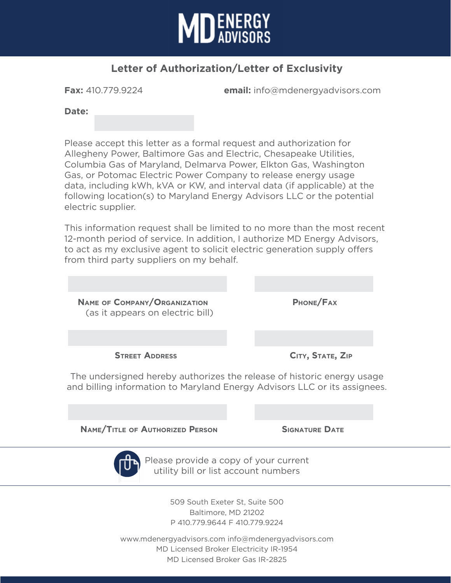

## **Letter of Authorization/Letter of Exclusivity**

**Fax:** 410.779.9224 **email:** info@mdenergyadvisors.com

**Date:**

Please accept this letter as a formal request and authorization for Allegheny Power, Baltimore Gas and Electric, Chesapeake Utilities, Columbia Gas of Maryland, Delmarva Power, Elkton Gas, Washington Gas, or Potomac Electric Power Company to release energy usage data, including kWh, kVA or KW, and interval data (if applicable) at the following location(s) to Maryland Energy Advisors LLC or the potential electric supplier.

This information request shall be limited to no more than the most recent 12-month period of service. In addition, I authorize MD Energy Advisors, to act as my exclusive agent to solicit electric generation supply offers from third party suppliers on my behalf.



 **Name/Title of Authorized Person Signature Date** Please provide a copy of your current

utility bill or list account numbers

509 South Exeter St, Suite 500 Baltimore, MD 21202 P 410.779.9644 F 410.779.9224

www.mdenergyadvisors.com info@mdenergyadvisors.com MD Licensed Broker Electricity IR-1954 MD Licensed Broker Gas IR-2825